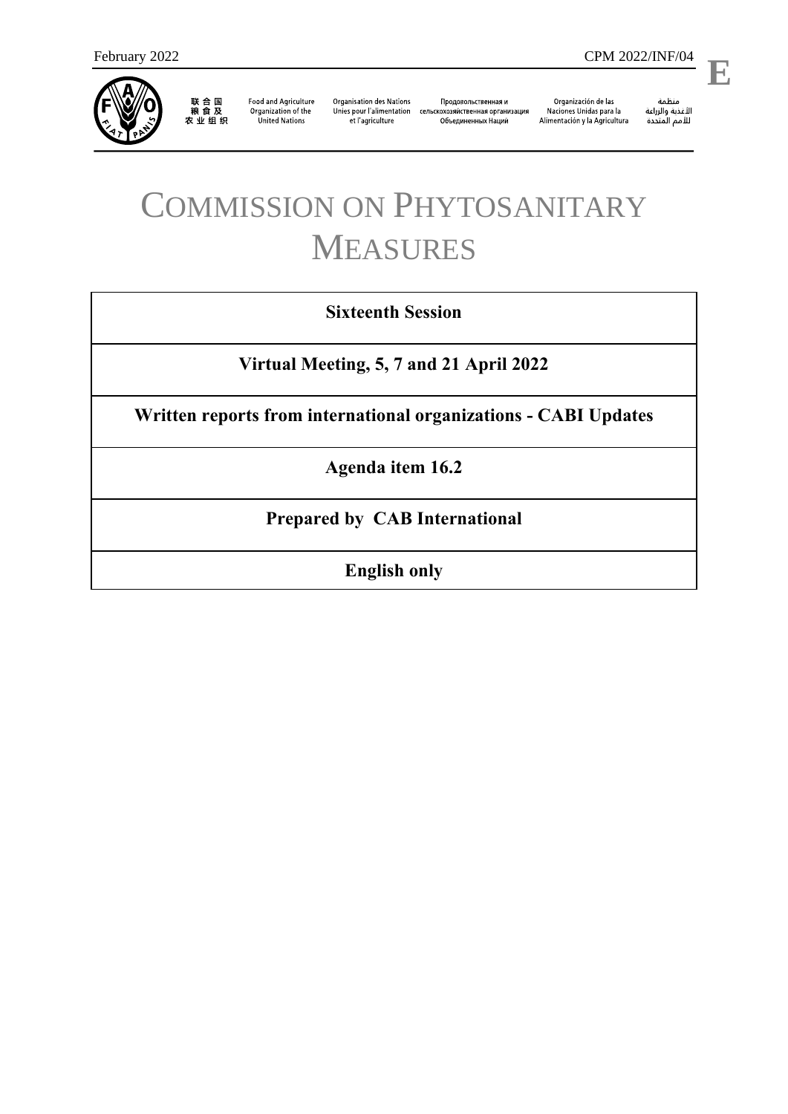

联合国<br>粮食及<br>农业组织

**Food and Agriculture** Organization of the **United Nations** 

**Organisation des Nations** et l'agriculture

Продовольственная и Unies pour l'alimentation сельскохозяйственная организация Объединенных Наций

Organización de las<br>Naciones Unidas para la Alimentación y la Agricultura

منظمة ستنسه<br>الأغذية والزراعة<br>للأمم المتددة

l,

**E**

# COMMISSION ON PHYTOSANITARY MEASURES

## **Sixteenth Session**

**Virtual Meeting, 5, 7 and 21 April 2022**

**Written reports from international organizations - CABI Updates**

**Agenda item 16.2**

**Prepared by CAB International**

**English only**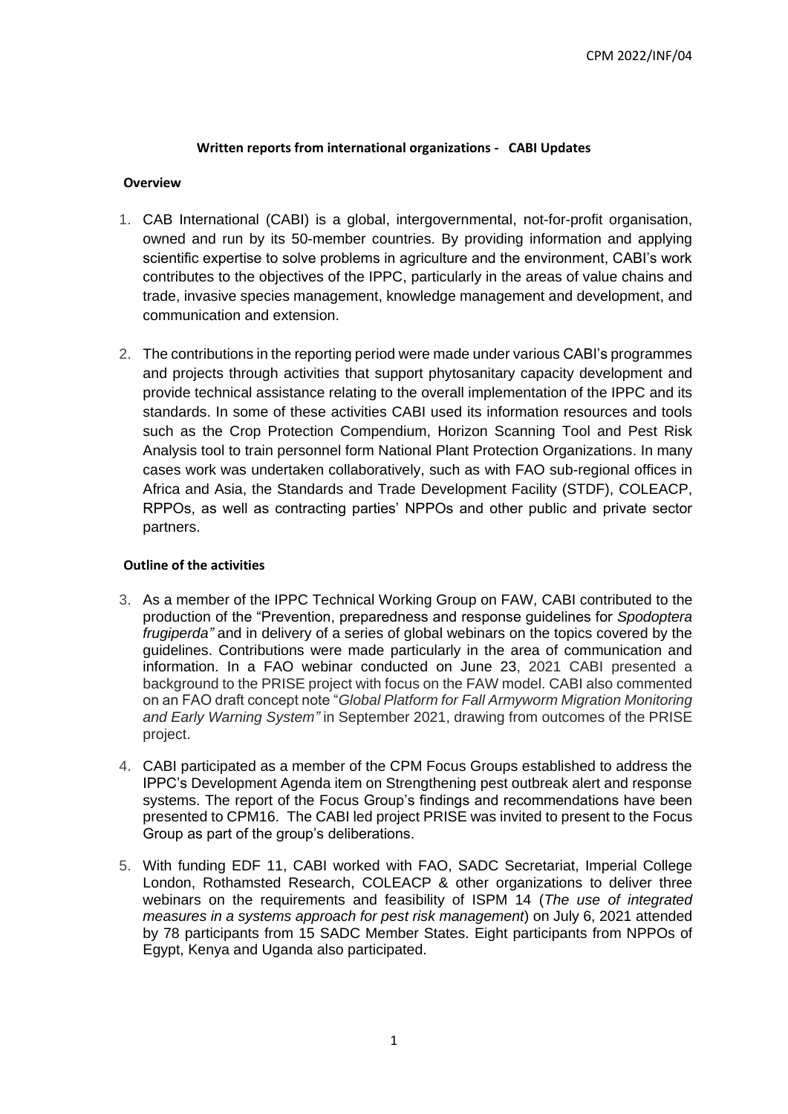### **Written reports from international organizations - CABI Updates**

### **Overview**

- 1. CAB International (CABI) is a global, intergovernmental, not-for-profit organisation, owned and run by its 50-member countries. By providing information and applying scientific expertise to solve problems in agriculture and the environment, CABI's work contributes to the objectives of the IPPC, particularly in the areas of value chains and trade, invasive species management, knowledge management and development, and communication and extension.
- 2. The contributions in the reporting period were made under various CABI's programmes and projects through activities that support phytosanitary capacity development and provide technical assistance relating to the overall implementation of the IPPC and its standards. In some of these activities CABI used its information resources and tools such as the Crop Protection Compendium, Horizon Scanning Tool and Pest Risk Analysis tool to train personnel form National Plant Protection Organizations. In many cases work was undertaken collaboratively, such as with FAO sub-regional offices in Africa and Asia, the Standards and Trade Development Facility (STDF), COLEACP, RPPOs, as well as contracting parties' NPPOs and other public and private sector partners.

### **Outline of the activities**

- 3. As a member of the IPPC Technical Working Group on FAW, CABI contributed to the production of the "Prevention, preparedness and response guidelines for *Spodoptera frugiperda"* and in delivery of a series of global webinars on the topics covered by the guidelines. Contributions were made particularly in the area of communication and information. In a FAO webinar conducted on June 23, 2021 CABI presented a background to the PRISE project with focus on the FAW model. CABI also commented on an FAO draft concept note "*Global Platform for Fall Armyworm Migration Monitoring and Early Warning System"* in September 2021, drawing from outcomes of the PRISE project.
- 4. CABI participated as a member of the CPM Focus Groups established to address the IPPC's Development Agenda item on Strengthening pest outbreak alert and response systems. The report of the Focus Group's findings and recommendations have been presented to CPM16. The CABI led project PRISE was invited to present to the Focus Group as part of the group's deliberations.
- 5. With funding EDF 11, CABI worked with FAO, SADC Secretariat, Imperial College London, Rothamsted Research, COLEACP & other organizations to deliver three webinars on the requirements and feasibility of ISPM 14 (*The use of integrated measures in a systems approach for pest risk management*) on July 6, 2021 attended by 78 participants from 15 SADC Member States. Eight participants from NPPOs of Egypt, Kenya and Uganda also participated.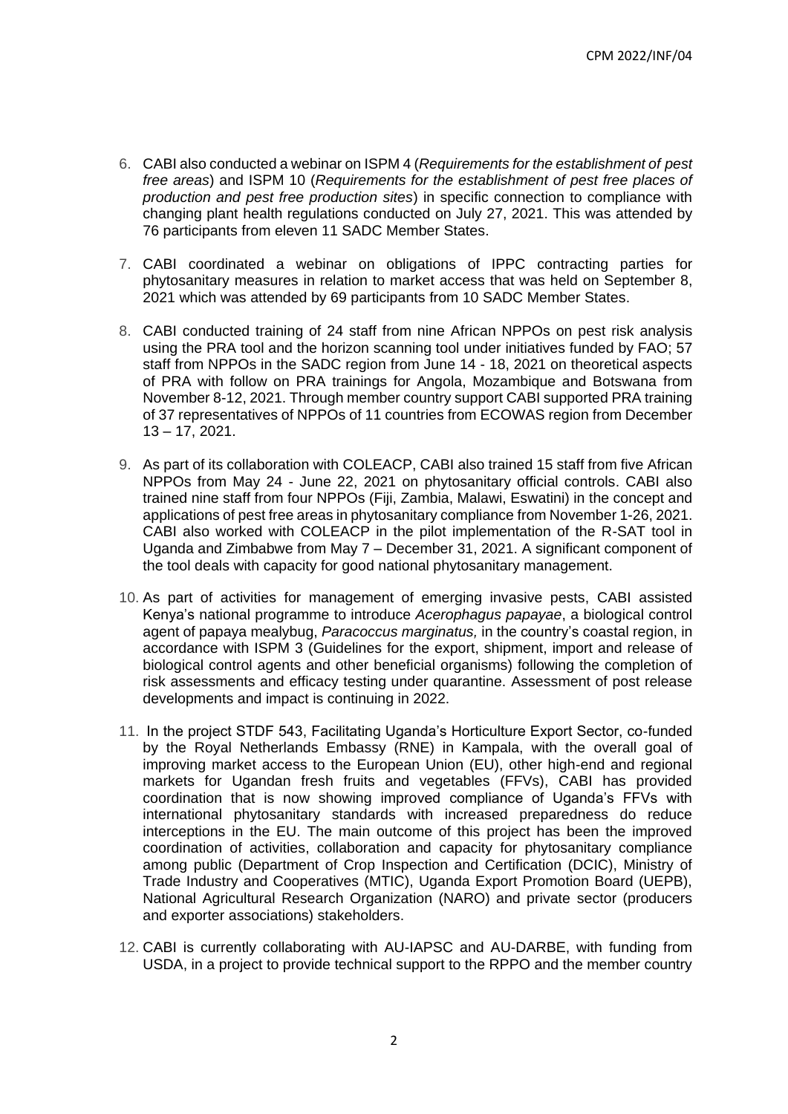- 6. CABI also conducted a webinar on ISPM 4 (*Requirements for the establishment of pest free areas*) and ISPM 10 (*Requirements for the establishment of pest free places of production and pest free production sites*) in specific connection to compliance with changing plant health regulations conducted on July 27, 2021. This was attended by 76 participants from eleven 11 SADC Member States.
- 7. CABI coordinated a webinar on obligations of IPPC contracting parties for phytosanitary measures in relation to market access that was held on September 8, 2021 which was attended by 69 participants from 10 SADC Member States.
- 8. CABI conducted training of 24 staff from nine African NPPOs on pest risk analysis using the PRA tool and the horizon scanning tool under initiatives funded by FAO; 57 staff from NPPOs in the SADC region from June 14 - 18, 2021 on theoretical aspects of PRA with follow on PRA trainings for Angola, Mozambique and Botswana from November 8-12, 2021. Through member country support CABI supported PRA training of 37 representatives of NPPOs of 11 countries from ECOWAS region from December 13 – 17, 2021.
- 9. As part of its collaboration with COLEACP, CABI also trained 15 staff from five African NPPOs from May 24 - June 22, 2021 on phytosanitary official controls. CABI also trained nine staff from four NPPOs (Fiji, Zambia, Malawi, Eswatini) in the concept and applications of pest free areas in phytosanitary compliance from November 1-26, 2021. CABI also worked with COLEACP in the pilot implementation of the R-SAT tool in Uganda and Zimbabwe from May 7 – December 31, 2021. A significant component of the tool deals with capacity for good national phytosanitary management.
- 10. As part of activities for management of emerging invasive pests, CABI assisted Kenya's national programme to introduce *Acerophagus papayae*, a biological control agent of papaya mealybug, *Paracoccus marginatus,* in the country's coastal region, in accordance with ISPM 3 (Guidelines for the export, shipment, import and release of biological control agents and other beneficial organisms) following the completion of risk assessments and efficacy testing under quarantine. Assessment of post release developments and impact is continuing in 2022.
- 11. In the project STDF 543, Facilitating Uganda's Horticulture Export Sector, co-funded by the Royal Netherlands Embassy (RNE) in Kampala, with the overall goal of improving market access to the European Union (EU), other high-end and regional markets for Ugandan fresh fruits and vegetables (FFVs), CABI has provided coordination that is now showing improved compliance of Uganda's FFVs with international phytosanitary standards with increased preparedness do reduce interceptions in the EU. The main outcome of this project has been the improved coordination of activities, collaboration and capacity for phytosanitary compliance among public (Department of Crop Inspection and Certification (DCIC), Ministry of Trade Industry and Cooperatives (MTIC), Uganda Export Promotion Board (UEPB), National Agricultural Research Organization (NARO) and private sector (producers and exporter associations) stakeholders.
- 12. CABI is currently collaborating with AU-IAPSC and AU-DARBE, with funding from USDA, in a project to provide technical support to the RPPO and the member country